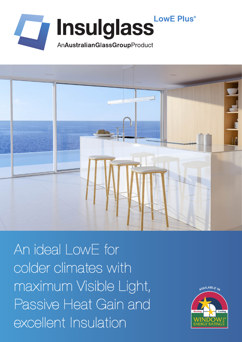



An ideal LowE for colder climates with maximum Visible Light, Passive Heat Gain and excellent Insulation